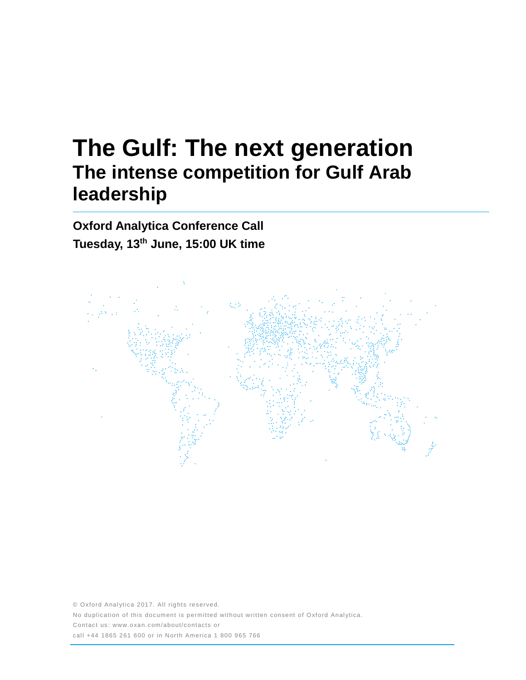# **The Gulf: The next generation The intense competition for Gulf Arab leadership**

**Oxford Analytica Conference Call Tuesday, 13th June, 15:00 UK time**



© Oxford Analytica 2017. All rights reserved. No duplication of this document is permitted without written consent of Oxford Analytica. Contact us: www.oxan.com/about/contacts or call +44 1865 261 600 or in North America 1 800 965 766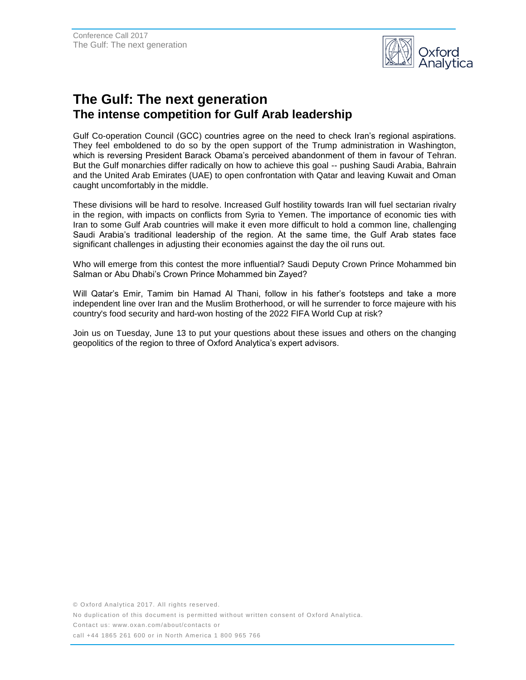

## **The Gulf: The next generation The intense competition for Gulf Arab leadership**

Gulf Co-operation Council (GCC) countries agree on the need to check Iran's regional aspirations. They feel emboldened to do so by the open support of the Trump administration in Washington, which is reversing President Barack Obama's perceived abandonment of them in favour of Tehran. But the Gulf monarchies differ radically on how to achieve this goal -- pushing Saudi Arabia, Bahrain and the United Arab Emirates (UAE) to open confrontation with Qatar and leaving Kuwait and Oman caught uncomfortably in the middle.

These divisions will be hard to resolve. Increased Gulf hostility towards Iran will fuel sectarian rivalry in the region, with impacts on conflicts from Syria to Yemen. The importance of economic ties with Iran to some Gulf Arab countries will make it even more difficult to hold a common line, challenging Saudi Arabia's traditional leadership of the region. At the same time, the Gulf Arab states face significant challenges in adjusting their economies against the day the oil runs out.

Who will emerge from this contest the more influential? Saudi Deputy Crown Prince Mohammed bin Salman or Abu Dhabi's Crown Prince Mohammed bin Zayed?

Will Qatar's Emir, Tamim bin Hamad Al Thani, follow in his father's footsteps and take a more independent line over Iran and the Muslim Brotherhood, or will he surrender to force majeure with his country's food security and hard-won hosting of the 2022 FIFA World Cup at risk?

Join us on Tuesday, June 13 to put your questions about these issues and others on the changing geopolitics of the region to three of Oxford Analytica's expert advisors.